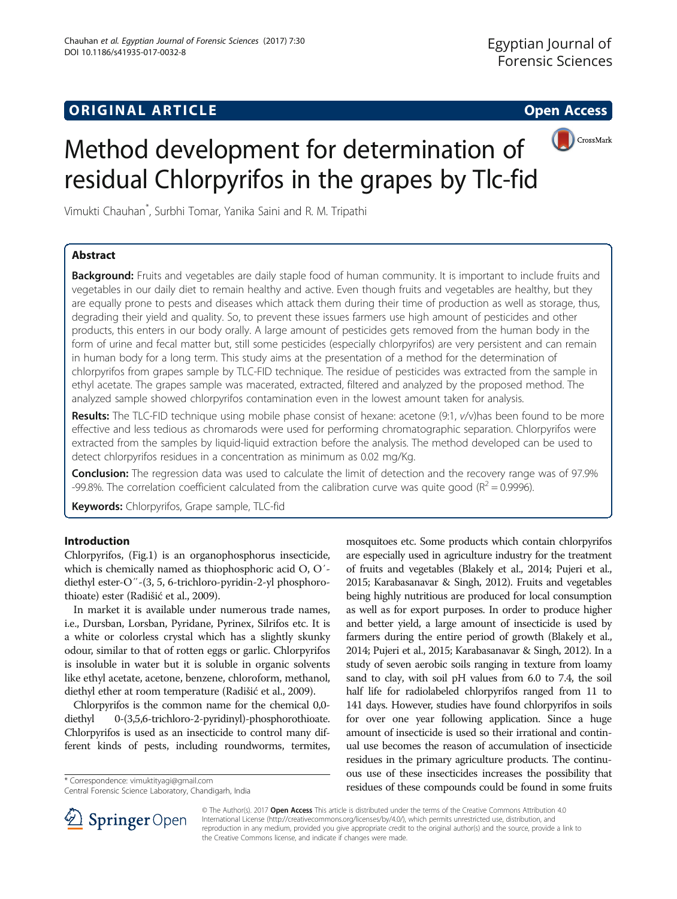## **ORIGINAL ARTICLE CONSUMING A LIGACION** CONSUMING A LIGACION CONSUMING A LIGACION CONSUMING A LIGACION CONSUMING A LIGACION CONSUMING A LIGACION CONSUMING A LIGACION CONSUMING A LIGACION CONSUMING A LIGACION CONSUMING A



# Method development for determination of residual Chlorpyrifos in the grapes by Tlc-fid

Vimukti Chauhan\* , Surbhi Tomar, Yanika Saini and R. M. Tripathi

## Abstract

**Background:** Fruits and vegetables are daily staple food of human community. It is important to include fruits and vegetables in our daily diet to remain healthy and active. Even though fruits and vegetables are healthy, but they are equally prone to pests and diseases which attack them during their time of production as well as storage, thus, degrading their yield and quality. So, to prevent these issues farmers use high amount of pesticides and other products, this enters in our body orally. A large amount of pesticides gets removed from the human body in the form of urine and fecal matter but, still some pesticides (especially chlorpyrifos) are very persistent and can remain in human body for a long term. This study aims at the presentation of a method for the determination of chlorpyrifos from grapes sample by TLC-FID technique. The residue of pesticides was extracted from the sample in ethyl acetate. The grapes sample was macerated, extracted, filtered and analyzed by the proposed method. The analyzed sample showed chlorpyrifos contamination even in the lowest amount taken for analysis.

Results: The TLC-FID technique using mobile phase consist of hexane: acetone (9:1, v/v)has been found to be more effective and less tedious as chromarods were used for performing chromatographic separation. Chlorpyrifos were extracted from the samples by liquid-liquid extraction before the analysis. The method developed can be used to detect chlorpyrifos residues in a concentration as minimum as 0.02 mg/Kg.

Conclusion: The regression data was used to calculate the limit of detection and the recovery range was of 97.9% -99.8%. The correlation coefficient calculated from the calibration curve was quite good ( $R^2$  = 0.9996).

Keywords: Chlorpyrifos, Grape sample, TLC-fid

## Introduction

Chlorpyrifos, (Fig[.1](#page-1-0)) is an organophosphorus insecticide, which is chemically named as thiophosphoric acid O, O′ diethyl ester-O″-(3, 5, 6-trichloro-pyridin-2-yl phosphorothioate) ester (Radišić et al., [2009\)](#page-6-0).

In market it is available under numerous trade names, i.e., Dursban, Lorsban, Pyridane, Pyrinex, Silrifos etc. It is a white or colorless crystal which has a slightly skunky odour, similar to that of rotten eggs or garlic. Chlorpyrifos is insoluble in water but it is soluble in organic solvents like ethyl acetate, acetone, benzene, chloroform, methanol, diethyl ether at room temperature (Radišić et al., [2009\)](#page-6-0).

Chlorpyrifos is the common name for the chemical 0,0 diethyl 0-(3,5,6-trichloro-2-pyridinyl)-phosphorothioate. Chlorpyrifos is used as an insecticide to control many different kinds of pests, including roundworms, termites,

Central Forensic Science Laboratory, Chandigarh, India

mosquitoes etc. Some products which contain chlorpyrifos are especially used in agriculture industry for the treatment of fruits and vegetables (Blakely et al., [2014](#page-5-0); Pujeri et al., [2015;](#page-6-0) Karabasanavar & Singh, [2012](#page-6-0)). Fruits and vegetables being highly nutritious are produced for local consumption as well as for export purposes. In order to produce higher and better yield, a large amount of insecticide is used by farmers during the entire period of growth (Blakely et al., [2014;](#page-5-0) Pujeri et al., [2015;](#page-6-0) Karabasanavar & Singh, [2012](#page-6-0)). In a study of seven aerobic soils ranging in texture from loamy sand to clay, with soil pH values from 6.0 to 7.4, the soil half life for radiolabeled chlorpyrifos ranged from 11 to 141 days. However, studies have found chlorpyrifos in soils for over one year following application. Since a huge amount of insecticide is used so their irrational and continual use becomes the reason of accumulation of insecticide residues in the primary agriculture products. The continuous use of these insecticides increases the possibility that residues of these compounds could be found in some fruits \* Correspondence: [vimuktityagi@gmail.com](mailto:vimuktityagi@gmail.com)



© The Author(s). 2017 Open Access This article is distributed under the terms of the Creative Commons Attribution 4.0 International License ([http://creativecommons.org/licenses/by/4.0/\)](http://creativecommons.org/licenses/by/4.0/), which permits unrestricted use, distribution, and reproduction in any medium, provided you give appropriate credit to the original author(s) and the source, provide a link to the Creative Commons license, and indicate if changes were made.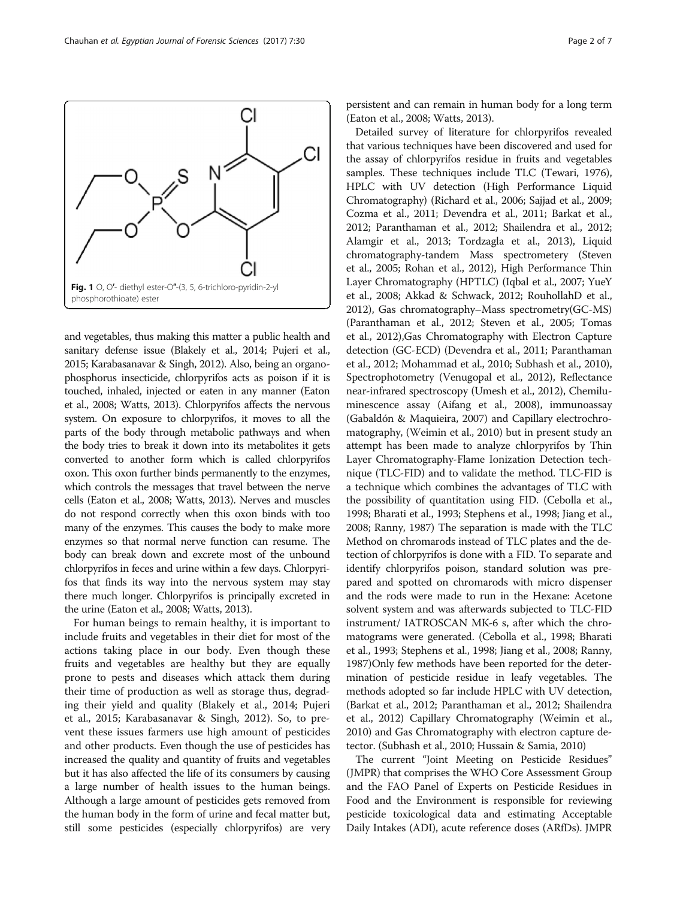and vegetables, thus making this matter a public health and sanitary defense issue (Blakely et al., [2014;](#page-5-0) Pujeri et al., [2015;](#page-6-0) Karabasanavar & Singh, [2012](#page-6-0)). Also, being an organophosphorus insecticide, chlorpyrifos acts as poison if it is touched, inhaled, injected or eaten in any manner (Eaton et al., [2008](#page-5-0); Watts, [2013](#page-6-0)). Chlorpyrifos affects the nervous system. On exposure to chlorpyrifos, it moves to all the parts of the body through metabolic pathways and when the body tries to break it down into its metabolites it gets converted to another form which is called chlorpyrifos oxon. This oxon further binds permanently to the enzymes, which controls the messages that travel between the nerve cells (Eaton et al., [2008](#page-5-0); Watts, [2013](#page-6-0)). Nerves and muscles do not respond correctly when this oxon binds with too many of the enzymes. This causes the body to make more enzymes so that normal nerve function can resume. The body can break down and excrete most of the unbound chlorpyrifos in feces and urine within a few days. Chlorpyrifos that finds its way into the nervous system may stay there much longer. Chlorpyrifos is principally excreted in the urine (Eaton et al., [2008;](#page-5-0) Watts, [2013\)](#page-6-0).

For human beings to remain healthy, it is important to include fruits and vegetables in their diet for most of the actions taking place in our body. Even though these fruits and vegetables are healthy but they are equally prone to pests and diseases which attack them during their time of production as well as storage thus, degrading their yield and quality (Blakely et al., [2014;](#page-5-0) Pujeri et al., [2015;](#page-6-0) Karabasanavar & Singh, [2012\)](#page-6-0). So, to prevent these issues farmers use high amount of pesticides and other products. Even though the use of pesticides has increased the quality and quantity of fruits and vegetables but it has also affected the life of its consumers by causing a large number of health issues to the human beings. Although a large amount of pesticides gets removed from the human body in the form of urine and fecal matter but, still some pesticides (especially chlorpyrifos) are very persistent and can remain in human body for a long term (Eaton et al., [2008;](#page-5-0) Watts, [2013\)](#page-6-0).

Detailed survey of literature for chlorpyrifos revealed that various techniques have been discovered and used for the assay of chlorpyrifos residue in fruits and vegetables samples. These techniques include TLC (Tewari, [1976](#page-6-0)), HPLC with UV detection (High Performance Liquid Chromatography) (Richard et al., [2006](#page-6-0); Sajjad et al., [2009](#page-6-0); Cozma et al., [2011;](#page-5-0) Devendra et al., [2011](#page-5-0); Barkat et al., [2012;](#page-5-0) Paranthaman et al., [2012;](#page-6-0) Shailendra et al., [2012](#page-6-0); Alamgir et al., [2013;](#page-5-0) Tordzagla et al., [2013\)](#page-6-0), Liquid chromatography-tandem Mass spectrometery (Steven et al., [2005](#page-6-0); Rohan et al., [2012\)](#page-6-0), High Performance Thin Layer Chromatography (HPTLC) (Iqbal et al., [2007](#page-6-0); YueY et al., [2008](#page-6-0); Akkad & Schwack, [2012](#page-5-0); RouhollahD et al., [2012\)](#page-6-0), Gas chromatography–Mass spectrometry(GC-MS) (Paranthaman et al., [2012](#page-6-0); Steven et al., [2005](#page-6-0); Tomas et al., [2012](#page-6-0)),Gas Chromatography with Electron Capture detection (GC-ECD) (Devendra et al., [2011;](#page-5-0) Paranthaman et al., [2012](#page-6-0); Mohammad et al., [2010](#page-6-0); Subhash et al., [2010](#page-6-0)), Spectrophotometry (Venugopal et al., [2012](#page-6-0)), Reflectance near-infrared spectroscopy (Umesh et al., [2012\)](#page-6-0), Chemiluminescence assay (Aifang et al., [2008](#page-5-0)), immunoassay (Gabaldón & Maquieira, [2007](#page-6-0)) and Capillary electrochromatography, (Weimin et al., [2010](#page-6-0)) but in present study an attempt has been made to analyze chlorpyrifos by Thin Layer Chromatography-Flame Ionization Detection technique (TLC-FID) and to validate the method. TLC-FID is a technique which combines the advantages of TLC with the possibility of quantitation using FID. (Cebolla et al., [1998;](#page-5-0) Bharati et al., [1993](#page-5-0); Stephens et al., [1998](#page-6-0); Jiang et al., [2008;](#page-6-0) Ranny, [1987](#page-6-0)) The separation is made with the TLC Method on chromarods instead of TLC plates and the detection of chlorpyrifos is done with a FID. To separate and identify chlorpyrifos poison, standard solution was prepared and spotted on chromarods with micro dispenser and the rods were made to run in the Hexane: Acetone solvent system and was afterwards subjected to TLC-FID instrument/ IATROSCAN MK-6 s, after which the chromatograms were generated. (Cebolla et al., [1998;](#page-5-0) Bharati et al., [1993](#page-5-0); Stephens et al., [1998](#page-6-0); Jiang et al., [2008](#page-6-0); Ranny, [1987\)](#page-6-0)Only few methods have been reported for the determination of pesticide residue in leafy vegetables. The methods adopted so far include HPLC with UV detection, (Barkat et al., [2012;](#page-5-0) Paranthaman et al., [2012;](#page-6-0) Shailendra et al., [2012](#page-6-0)) Capillary Chromatography (Weimin et al., [2010\)](#page-6-0) and Gas Chromatography with electron capture detector. (Subhash et al., [2010](#page-6-0); Hussain & Samia, [2010\)](#page-6-0)

The current "Joint Meeting on Pesticide Residues" (JMPR) that comprises the WHO Core Assessment Group and the FAO Panel of Experts on Pesticide Residues in Food and the Environment is responsible for reviewing pesticide toxicological data and estimating Acceptable Daily Intakes (ADI), acute reference doses (ARfDs). JMPR

<span id="page-1-0"></span>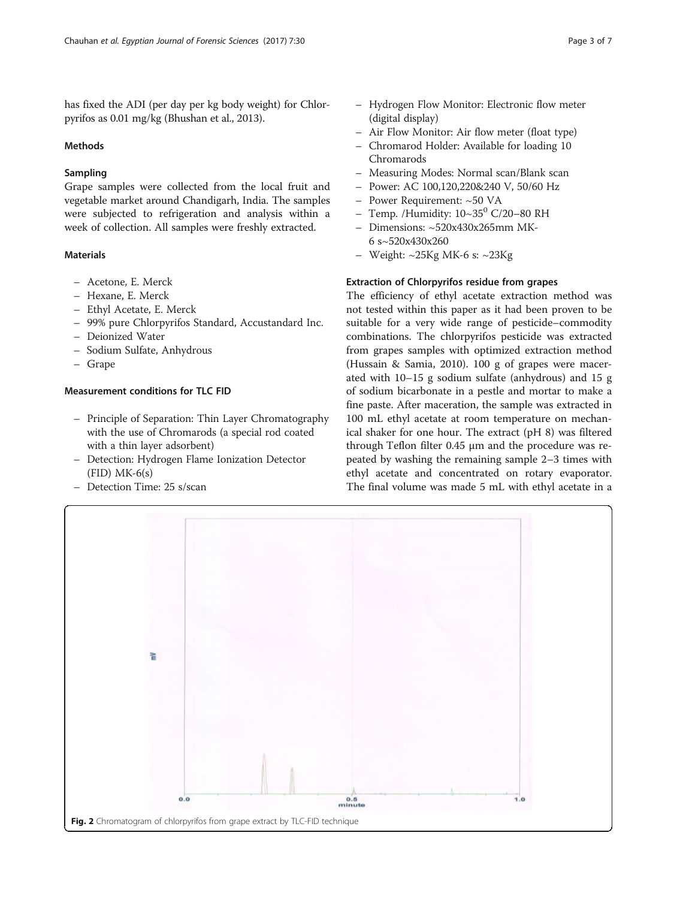<span id="page-2-0"></span>has fixed the ADI (per day per kg body weight) for Chlorpyrifos as 0.01 mg/kg (Bhushan et al., [2013\)](#page-5-0).

#### **Methods**

## Sampling

Grape samples were collected from the local fruit and vegetable market around Chandigarh, India. The samples were subjected to refrigeration and analysis within a week of collection. All samples were freshly extracted.

## Materials

- Acetone, E. Merck
- Hexane, E. Merck
- Ethyl Acetate, E. Merck
- 99% pure Chlorpyrifos Standard, Accustandard Inc.
- Deionized Water
- Sodium Sulfate, Anhydrous
- Grape

## Measurement conditions for TLC FID

- Principle of Separation: Thin Layer Chromatography with the use of Chromarods (a special rod coated with a thin layer adsorbent)
- Detection: Hydrogen Flame Ionization Detector  $(FID)$  MK- $6(s)$
- Detection Time: 25 s/scan
- Hydrogen Flow Monitor: Electronic flow meter (digital display)
- Air Flow Monitor: Air flow meter (float type)
- Chromarod Holder: Available for loading 10 Chromarods
- Measuring Modes: Normal scan/Blank scan
- Power: AC 100,120,220&240 V, 50/60 Hz
- Power Requirement: ~50 VA
- Temp. /Humidity:  $10~35^{\circ}$  C/20-80 RH
- Dimensions: ~520x430x265mm MK-6 s~520x430x260
- Weight: ~25Kg MK-6 s: ~23Kg

## Extraction of Chlorpyrifos residue from grapes

The efficiency of ethyl acetate extraction method was not tested within this paper as it had been proven to be suitable for a very wide range of pesticide–commodity combinations. The chlorpyrifos pesticide was extracted from grapes samples with optimized extraction method (Hussain & Samia, [2010\)](#page-6-0). 100 g of grapes were macerated with 10–15 g sodium sulfate (anhydrous) and 15 g of sodium bicarbonate in a pestle and mortar to make a fine paste. After maceration, the sample was extracted in 100 mL ethyl acetate at room temperature on mechanical shaker for one hour. The extract (pH 8) was filtered through Teflon filter 0.45 μm and the procedure was repeated by washing the remaining sample 2–3 times with ethyl acetate and concentrated on rotary evaporator. The final volume was made 5 mL with ethyl acetate in a

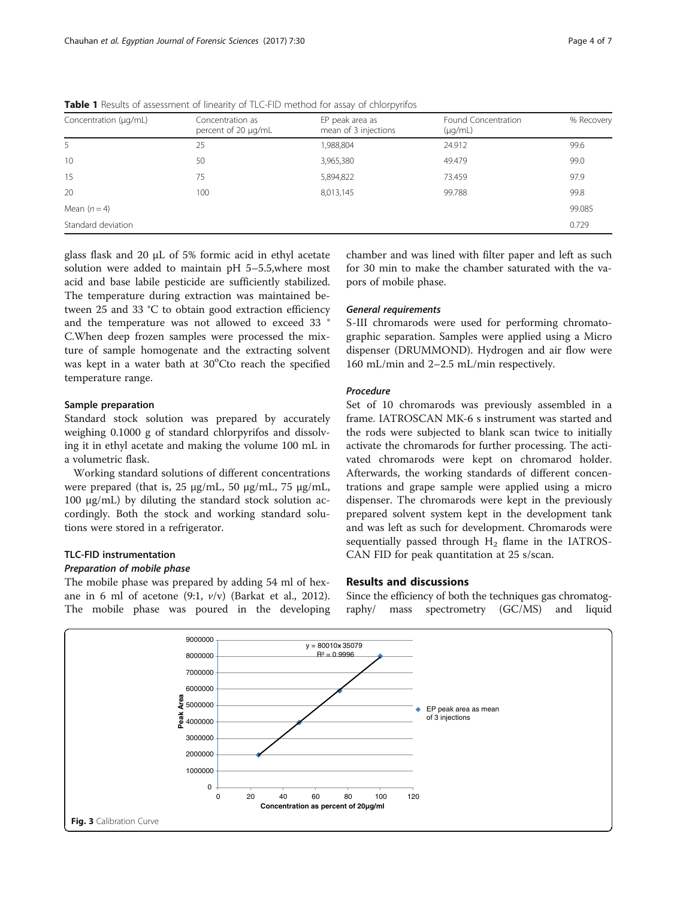| Concentration as<br>percent of 20 µg/mL | EP peak area as<br>mean of 3 injections | Found Concentration<br>$(\mu q/mL)$ | % Recovery |
|-----------------------------------------|-----------------------------------------|-------------------------------------|------------|
| 25                                      | 1,988,804                               | 24.912                              | 99.6       |
| 50                                      | 3,965,380                               | 49.479                              | 99.0       |
| 75                                      | 5,894,822                               | 73.459                              | 97.9       |
| 100                                     | 8,013,145                               | 99.788                              | 99.8       |
|                                         |                                         |                                     | 99.085     |
|                                         |                                         |                                     | 0.729      |
|                                         |                                         |                                     |            |

<span id="page-3-0"></span>Table 1 Results of assessment of linearity of TLC-FID method for assay of chlorpyrifos

glass flask and 20 μL of 5% formic acid in ethyl acetate solution were added to maintain pH 5–5.5,where most acid and base labile pesticide are sufficiently stabilized. The temperature during extraction was maintained between 25 and 33 °C to obtain good extraction efficiency and the temperature was not allowed to exceed 33 ° C.When deep frozen samples were processed the mixture of sample homogenate and the extracting solvent was kept in a water bath at 30°Cto reach the specified temperature range.

## Sample preparation

Standard stock solution was prepared by accurately weighing 0.1000 g of standard chlorpyrifos and dissolving it in ethyl acetate and making the volume 100 mL in a volumetric flask.

Working standard solutions of different concentrations were prepared (that is, 25 μg/mL, 50 μg/mL, 75 μg/mL, 100 μg/mL) by diluting the standard stock solution accordingly. Both the stock and working standard solutions were stored in a refrigerator.

## TLC-FID instrumentation

#### Preparation of mobile phase

The mobile phase was prepared by adding 54 ml of hexane in 6 ml of acetone  $(9:1, v/v)$  (Barkat et al., [2012](#page-5-0)). The mobile phase was poured in the developing chamber and was lined with filter paper and left as such for 30 min to make the chamber saturated with the vapors of mobile phase.

#### General requirements

S-III chromarods were used for performing chromatographic separation. Samples were applied using a Micro dispenser (DRUMMOND). Hydrogen and air flow were 160 mL/min and 2–2.5 mL/min respectively.

## Procedure

Set of 10 chromarods was previously assembled in a frame. IATROSCAN MK-6 s instrument was started and the rods were subjected to blank scan twice to initially activate the chromarods for further processing. The activated chromarods were kept on chromarod holder. Afterwards, the working standards of different concentrations and grape sample were applied using a micro dispenser. The chromarods were kept in the previously prepared solvent system kept in the development tank and was left as such for development. Chromarods were sequentially passed through  $H<sub>2</sub>$  flame in the IATROS-CAN FID for peak quantitation at 25 s/scan.

## Results and discussions

Since the efficiency of both the techniques gas chromatography/ mass spectrometry (GC/MS) and liquid

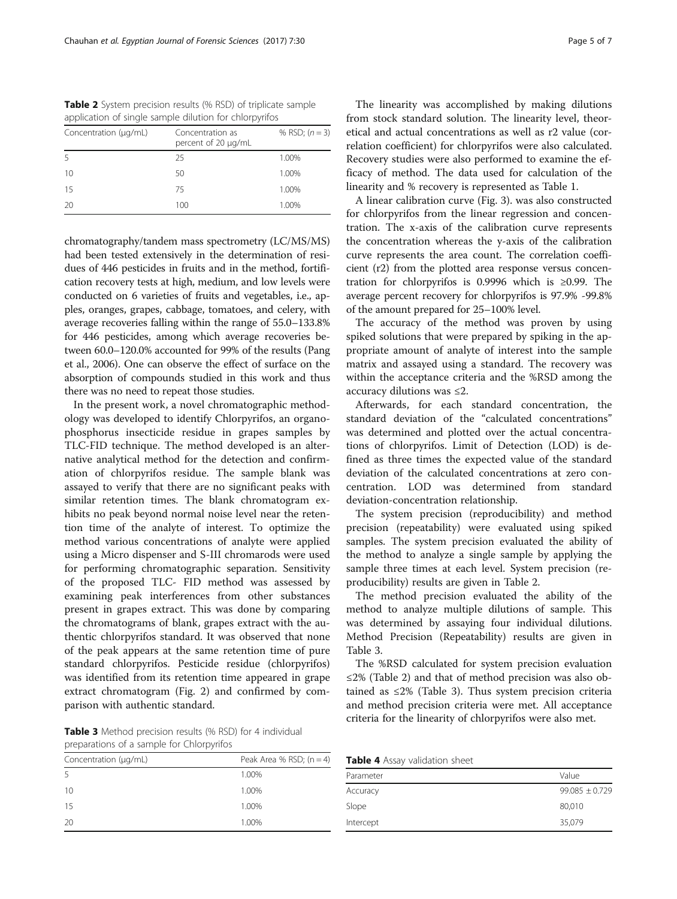<span id="page-4-0"></span>Table 2 System precision results (% RSD) of triplicate sample application of single sample dilution for chlorpyrifos

| Concentration (µg/mL) | Concentration as<br>percent of 20 µg/mL | % RSD; $(n = 3)$ |
|-----------------------|-----------------------------------------|------------------|
| -5                    | 25                                      | 1.00%            |
| 10                    | 50                                      | 1.00%            |
| 15                    | 75                                      | 1.00%            |
| 20                    | 100                                     | 1.00%            |
|                       |                                         |                  |

chromatography/tandem mass spectrometry (LC/MS/MS) had been tested extensively in the determination of residues of 446 pesticides in fruits and in the method, fortification recovery tests at high, medium, and low levels were conducted on 6 varieties of fruits and vegetables, i.e., apples, oranges, grapes, cabbage, tomatoes, and celery, with average recoveries falling within the range of 55.0–133.8% for 446 pesticides, among which average recoveries between 60.0–120.0% accounted for 99% of the results (Pang et al., [2006\)](#page-6-0). One can observe the effect of surface on the absorption of compounds studied in this work and thus there was no need to repeat those studies.

In the present work, a novel chromatographic methodology was developed to identify Chlorpyrifos, an organophosphorus insecticide residue in grapes samples by TLC-FID technique. The method developed is an alternative analytical method for the detection and confirmation of chlorpyrifos residue. The sample blank was assayed to verify that there are no significant peaks with similar retention times. The blank chromatogram exhibits no peak beyond normal noise level near the retention time of the analyte of interest. To optimize the method various concentrations of analyte were applied using a Micro dispenser and S-III chromarods were used for performing chromatographic separation. Sensitivity of the proposed TLC- FID method was assessed by examining peak interferences from other substances present in grapes extract. This was done by comparing the chromatograms of blank, grapes extract with the authentic chlorpyrifos standard. It was observed that none of the peak appears at the same retention time of pure standard chlorpyrifos. Pesticide residue (chlorpyrifos) was identified from its retention time appeared in grape extract chromatogram (Fig. [2](#page-2-0)) and confirmed by comparison with authentic standard.

Table 3 Method precision results (% RSD) for 4 individual preparations of a sample for Chlorpyrifos

| Concentration (µg/mL) | Peak Area % RSD; $(n = 4)$ |
|-----------------------|----------------------------|
| 5                     | 1.00%                      |
| 10                    | 1.00%                      |
| 15                    | 1.00%                      |
| -20                   | 1.00%                      |
|                       |                            |

The linearity was accomplished by making dilutions from stock standard solution. The linearity level, theoretical and actual concentrations as well as r2 value (correlation coefficient) for chlorpyrifos were also calculated. Recovery studies were also performed to examine the efficacy of method. The data used for calculation of the linearity and % recovery is represented as Table [1.](#page-3-0)

A linear calibration curve (Fig. [3\)](#page-3-0). was also constructed for chlorpyrifos from the linear regression and concentration. The x-axis of the calibration curve represents the concentration whereas the y-axis of the calibration curve represents the area count. The correlation coefficient (r2) from the plotted area response versus concentration for chlorpyrifos is 0.9996 which is ≥0.99. The average percent recovery for chlorpyrifos is 97.9% -99.8% of the amount prepared for 25–100% level.

The accuracy of the method was proven by using spiked solutions that were prepared by spiking in the appropriate amount of analyte of interest into the sample matrix and assayed using a standard. The recovery was within the acceptance criteria and the %RSD among the accuracy dilutions was ≤2.

Afterwards, for each standard concentration, the standard deviation of the "calculated concentrations" was determined and plotted over the actual concentrations of chlorpyrifos. Limit of Detection (LOD) is defined as three times the expected value of the standard deviation of the calculated concentrations at zero concentration. LOD was determined from standard deviation-concentration relationship.

The system precision (reproducibility) and method precision (repeatability) were evaluated using spiked samples. The system precision evaluated the ability of the method to analyze a single sample by applying the sample three times at each level. System precision (reproducibility) results are given in Table 2.

The method precision evaluated the ability of the method to analyze multiple dilutions of sample. This was determined by assaying four individual dilutions. Method Precision (Repeatability) results are given in Table 3.

The %RSD calculated for system precision evaluation ≤2% (Table 2) and that of method precision was also obtained as  $\leq 2\%$  (Table 3). Thus system precision criteria and method precision criteria were met. All acceptance criteria for the linearity of chlorpyrifos were also met.

| Table 4 Assay validation sheet |  |  |
|--------------------------------|--|--|
|--------------------------------|--|--|

| Parameter | Value              |
|-----------|--------------------|
| Accuracy  | $99.085 \pm 0.729$ |
| Slope     | 80,010             |
| Intercept | 35,079             |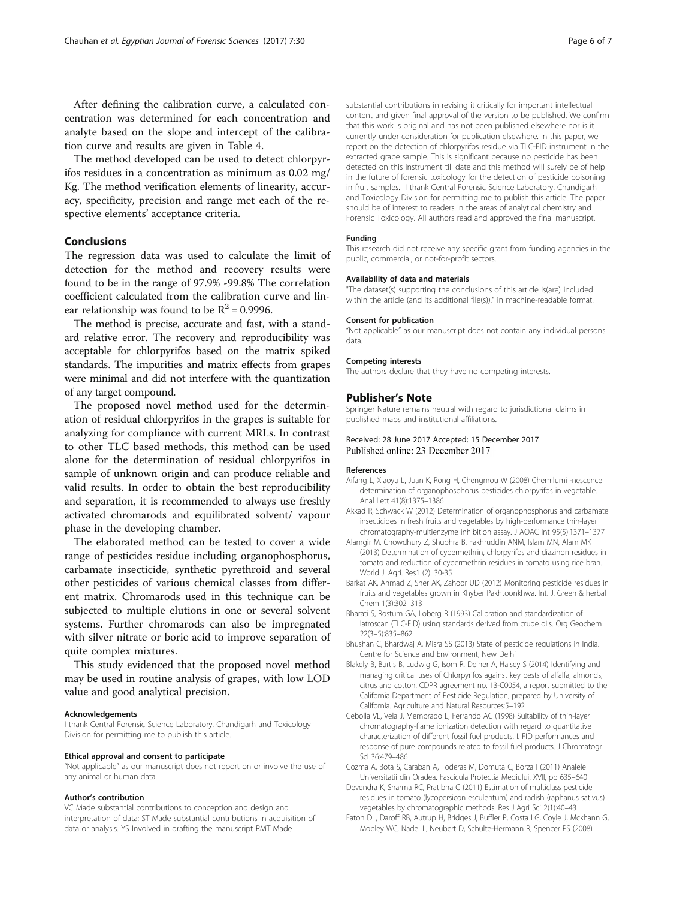<span id="page-5-0"></span>After defining the calibration curve, a calculated concentration was determined for each concentration and analyte based on the slope and intercept of the calibration curve and results are given in Table [4.](#page-4-0)

The method developed can be used to detect chlorpyrifos residues in a concentration as minimum as 0.02 mg/ Kg. The method verification elements of linearity, accuracy, specificity, precision and range met each of the respective elements' acceptance criteria.

#### Conclusions

The regression data was used to calculate the limit of detection for the method and recovery results were found to be in the range of 97.9% -99.8% The correlation coefficient calculated from the calibration curve and linear relationship was found to be  $R^2$  = 0.9996.

The method is precise, accurate and fast, with a standard relative error. The recovery and reproducibility was acceptable for chlorpyrifos based on the matrix spiked standards. The impurities and matrix effects from grapes were minimal and did not interfere with the quantization of any target compound.

The proposed novel method used for the determination of residual chlorpyrifos in the grapes is suitable for analyzing for compliance with current MRLs. In contrast to other TLC based methods, this method can be used alone for the determination of residual chlorpyrifos in sample of unknown origin and can produce reliable and valid results. In order to obtain the best reproducibility and separation, it is recommended to always use freshly activated chromarods and equilibrated solvent/ vapour phase in the developing chamber.

The elaborated method can be tested to cover a wide range of pesticides residue including organophosphorus, carbamate insecticide, synthetic pyrethroid and several other pesticides of various chemical classes from different matrix. Chromarods used in this technique can be subjected to multiple elutions in one or several solvent systems. Further chromarods can also be impregnated with silver nitrate or boric acid to improve separation of quite complex mixtures.

This study evidenced that the proposed novel method may be used in routine analysis of grapes, with low LOD value and good analytical precision.

#### Acknowledgements

I thank Central Forensic Science Laboratory, Chandigarh and Toxicology Division for permitting me to publish this article.

#### Ethical approval and consent to participate

"Not applicable" as our manuscript does not report on or involve the use of any animal or human data.

#### Author's contribution

VC Made substantial contributions to conception and design and interpretation of data; ST Made substantial contributions in acquisition of data or analysis. YS Involved in drafting the manuscript RMT Made

substantial contributions in revising it critically for important intellectual content and given final approval of the version to be published. We confirm that this work is original and has not been published elsewhere nor is it currently under consideration for publication elsewhere. In this paper, we report on the detection of chlorpyrifos residue via TLC-FID instrument in the extracted grape sample. This is significant because no pesticide has been detected on this instrument till date and this method will surely be of help in the future of forensic toxicology for the detection of pesticide poisoning in fruit samples. I thank Central Forensic Science Laboratory, Chandigarh and Toxicology Division for permitting me to publish this article. The paper should be of interest to readers in the areas of analytical chemistry and Forensic Toxicology. All authors read and approved the final manuscript.

#### Funding

This research did not receive any specific grant from funding agencies in the public, commercial, or not-for-profit sectors.

#### Availability of data and materials

"The dataset(s) supporting the conclusions of this article is(are) included within the article (and its additional file(s))." in machine-readable format.

#### Consent for publication

"Not applicable" as our manuscript does not contain any individual persons data.

#### Competing interests

The authors declare that they have no competing interests.

#### Publisher's Note

Springer Nature remains neutral with regard to jurisdictional claims in published maps and institutional affiliations.

#### Received: 28 June 2017 Accepted: 15 December 2017 Published online: 23 December 2017

#### References

- Aifang L, Xiaoyu L, Juan K, Rong H, Chengmou W (2008) Chemilumi -nescence determination of organophosphorus pesticides chlorpyrifos in vegetable. Anal Lett 41(8):1375–1386
- Akkad R, Schwack W (2012) Determination of organophosphorus and carbamate insecticides in fresh fruits and vegetables by high-performance thin-layer chromatography-multienzyme inhibition assay. J AOAC Int 95(5):1371–1377
- Alamgir M, Chowdhury Z, Shubhra B, Fakhruddin ANM, Islam MN, Alam MK (2013) Determination of cypermethrin, chlorpyrifos and diazinon residues in tomato and reduction of cypermethrin residues in tomato using rice bran. World J. Agri. Res1 (2): 30-35
- Barkat AK, Ahmad Z, Sher AK, Zahoor UD (2012) Monitoring pesticide residues in fruits and vegetables grown in Khyber Pakhtoonkhwa. Int. J. Green & herbal Chem 1(3):302–313
- Bharati S, Rostum GA, Loberg R (1993) Calibration and standardization of Iatroscan (TLC-FID) using standards derived from crude oils. Org Geochem 22(3–5):835–862
- Bhushan C, Bhardwaj A, Misra SS (2013) State of pesticide regulations in India. Centre for Science and Environment, New Delhi
- Blakely B, Burtis B, Ludwig G, Isom R, Deiner A, Halsey S (2014) Identifying and managing critical uses of Chlorpyrifos against key pests of alfalfa, almonds, citrus and cotton, CDPR agreement no. 13-C0054, a report submitted to the California Department of Pesticide Regulation, prepared by University of California. Agriculture and Natural Resources:5–192
- Cebolla VL, Vela J, Membrado L, Ferrando AC (1998) Suitability of thin-layer chromatography-flame ionization detection with regard to quantitative characterization of different fossil fuel products. I. FID performances and response of pure compounds related to fossil fuel products. J Chromatogr Sci 36:479–486
- Cozma A, Bota S, Caraban A, Toderas M, Domuta C, Borza I (2011) Analele Universitatii din Oradea. Fascicula Protectia Mediului, XVII, pp 635–640
- Devendra K, Sharma RC, Pratibha C (2011) Estimation of multiclass pesticide residues in tomato (lycopersicon esculentum) and radish (raphanus sativus) vegetables by chromatographic methods. Res J Agri Sci 2(1):40–43
- Eaton DL, Daroff RB, Autrup H, Bridges J, Buffler P, Costa LG, Coyle J, Mckhann G, Mobley WC, Nadel L, Neubert D, Schulte-Hermann R, Spencer PS (2008)